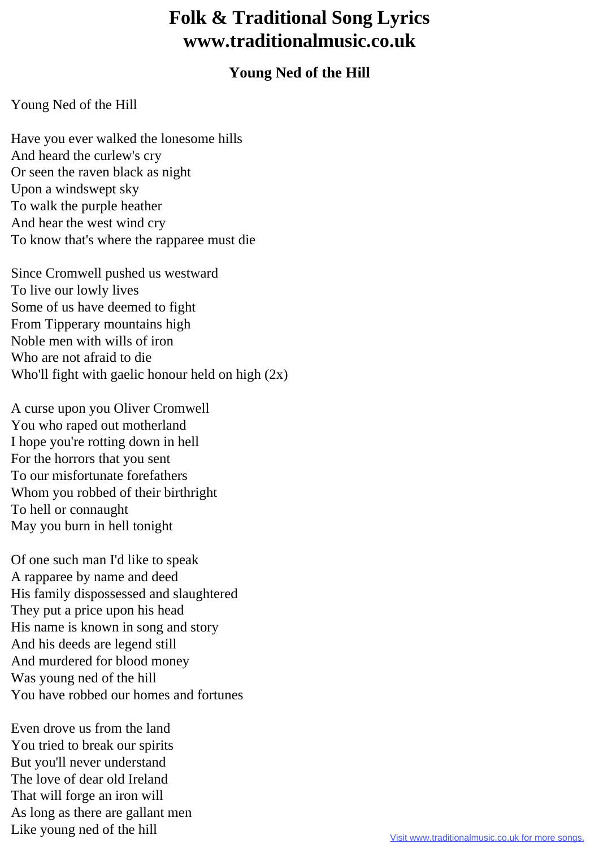## **Folk & Traditional Song Lyrics www.traditionalmusic.co.uk**

## **Young Ned of the Hill**

## Young Ned of the Hill

Have you ever walked the lonesome hills And heard the curlew's cry Or seen the raven black as night Upon a windswept sky To walk the purple heather And hear the west wind cry To know that's where the rapparee must die

Since Cromwell pushed us westward To live our lowly lives Some of us have deemed to fight From Tipperary mountains high Noble men with wills of iron Who are not afraid to die Who'll fight with gaelic honour held on high  $(2x)$ 

A curse upon you Oliver Cromwell You who raped out motherland I hope you're rotting down in hell For the horrors that you sent To our misfortunate forefathers Whom you robbed of their birthright To hell or connaught May you burn in hell tonight

Of one such man I'd like to speak A rapparee by name and deed His family dispossessed and slaughtered They put a price upon his head His name is known in song and story And his deeds are legend still And murdered for blood money Was young ned of the hill You have robbed our homes and fortunes

Even drove us from the land You tried to break our spirits But you'll never understand The love of dear old Ireland That will forge an iron will As long as there are gallant men Like young ned of the hill